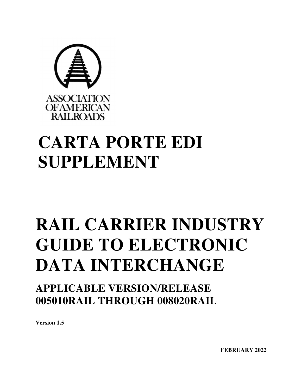

# **CARTA PORTE EDI SUPPLEMENT**

# **RAIL CARRIER INDUSTRY GUIDE TO ELECTRONIC DATA INTERCHANGE**

**APPLICABLE VERSION/RELEASE 005010RAIL THROUGH 008020RAIL** 

**Version 1.5**

**FEBRUARY 2022**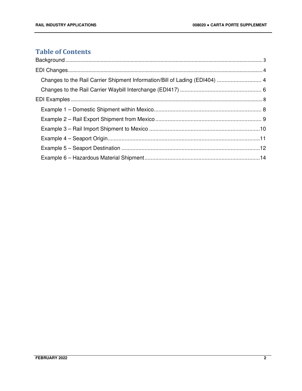## **Table of Contents**

| Changes to the Rail Carrier Shipment Information/Bill of Lading (EDI404)  4 |  |
|-----------------------------------------------------------------------------|--|
|                                                                             |  |
|                                                                             |  |
|                                                                             |  |
|                                                                             |  |
|                                                                             |  |
|                                                                             |  |
|                                                                             |  |
|                                                                             |  |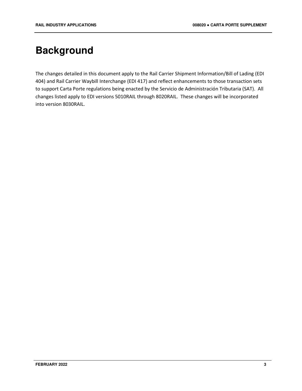# **Background**

The changes detailed in this document apply to the Rail Carrier Shipment Information/Bill of Lading (EDI 404) and Rail Carrier Waybill Interchange (EDI 417) and reflect enhancements to those transaction sets to support Carta Porte regulations being enacted by the Servicio de Administración Tributaria (SAT). All changes listed apply to EDI versions 5010RAIL through 8020RAIL. These changes will be incorporated into version 8030RAIL.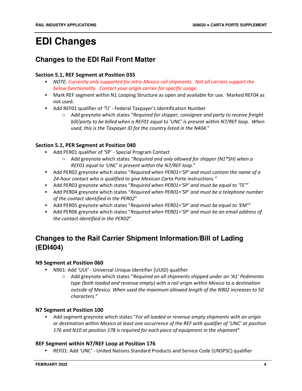# **EDI Changes**

# **Changes to the EDI Rail Front Matter**

#### **Section 5.1, REF Segment at Position 035**

- *NOTE: Currently only supported for intra-Mexico rail shipments. Not all carriers support the below functionality. Contact your origin carrier for specific usage.*
- Mark REF segment within N1 Looping Structure as open and available for use. Marked REF04 as not used.
- Add REF01 qualifier of 'TJ' Federal Taxpayer's Identification Number
	- o Add greynote which states "*Required for shipper, consignee and party to receive freight bill/party to be billed when a REF01 equal to 'UNC' is present within N7/REF loop. When used, this is the Taxpayer ID for the country listed in the N404.*"

#### **Section 5.1, PER Segment at Position 040**

- Add PER01 qualifier of 'SP' Special Program Contact
	- o Add greynote which states "*Required and only allowed for shipper (N1\*SH) when a REF01 equal to 'UNC' is present within the N7/REF loop.*"
- Add PER02 greynote which states "*Required when PER01='SP' and must contain the name of a 24-hour contact who is qualified to give Mexican Carta Porte instructions."*
- Add PER03 greynote which states "*Required when PER01='SP' and must be equal to 'TE'"*
- Add PER04 greynote which states "*Required when PER01='SP' and must be a telephone number of the contact identified in the PER02*"
- Add PER05 greynote which states "*Required when PER01='SP' and must be equal to 'EM'"*
- Add PER06 greynote which states "*Required when PER01='SP' and must be an email address of the contact identified in the PER02*"

# **Changes to the Rail Carrier Shipment Information/Bill of Lading (EDI404)**

#### **N9 Segment at Position 060**

- N901: Add 'UUI' Universal Unique Identifier (UUID) qualifier
	- o Add greynote which states "*Required on all shipments shipped under an 'A1' Pedimento type (both loaded and revenue empty) with a rail origin within Mexico to a destination outside of Mexico. When used the maximum allowed length of the N902 increases to 50 characters.*"

#### **N7 Segment at Position 100**

• Add segment greynote which states "*For all loaded or revenue empty shipments with an origin or destination within Mexico at least one occurrence of the REF with qualifier of 'UNC' at position 176 and N10 at position 178 is required for each piece of equipment in the shipment*"

#### **REF Segment within N7/REF Loop at Position 176**

• REF01: Add 'UNC' - United Nations Standard Products and Service Code (UNSPSC) qualifier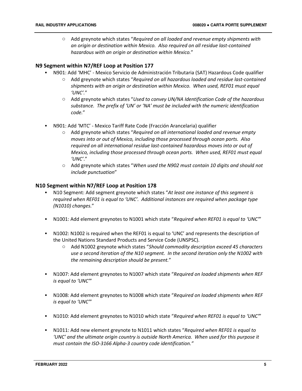o Add greynote which states "*Required on all loaded and revenue empty shipments with an origin or destination within Mexico. Also required on all residue last-contained hazardous with an origin or destination within Mexico.*"

#### **N9 Segment within N7/REF Loop at Position 177**

- N901: Add 'MHC' Mexico Servicio de Administración Tributaria (SAT) Hazardous Code qualifier
	- o Add greynote which states "*Required on all hazardous loaded and residue last-contained shipments with an origin or destination within Mexico. When used, REF01 must equal 'UNC'.*"
	- o Add greynote which states "*Used to convey UN/NA Identification Code of the hazardous substance. The prefix of 'UN' or 'NA' must be included with the numeric identification code.*"
- N901: Add 'MTC' Mexico Tariff Rate Code (Fracción Arancelaria) qualifier
	- o Add greynote which states "*Required on all international loaded and revenue empty moves into or out of Mexico, including those processed through ocean ports. Also required on all international residue last-contained hazardous moves into or out of Mexico, including those processed through ocean ports. When used, REF01 must equal 'UNC'*."
	- o Add greynote which states "*When used the N902 must contain 10 digits and should not include punctuation*"

#### **N10 Segment within N7/REF Loop at Position 178**

- N10 Segment: Add segment greynote which states "*At least one instance of this segment is required when REF01 is equal to 'UNC'. Additional instances are required when package type (N1010) changes.*"
- N1001: Add element greynotes to N1001 which state "*Required when REF01 is equal to 'UNC'*"
- N1002: N1002 is required when the REF01 is equal to 'UNC' and represents the description of the United Nations Standard Products and Service Code (UNSPSC).
	- o Add N1002 greynote which states "*Should commodity description exceed 45 characters use a second iteration of the N10 segment. In the second iteration only the N1002 with the remaining description should be present.*"
- N1007: Add element greynotes to N1007 which state "*Required on loaded shipments when REF is equal to 'UNC'*"
- N1008: Add element greynotes to N1008 which state "*Required on loaded shipments when REF is equal to 'UNC'*"
- N1010: Add element greynotes to N1010 which state "*Required when REF01 is equal to 'UNC'*"
- N1011: Add new element greynote to N1011 which states "*Required when REF01 is equal to 'UNC' and the ultimate origin country is outside North America. When used for this purpose it must contain the ISO-3166 Alpha-3 country code identification."*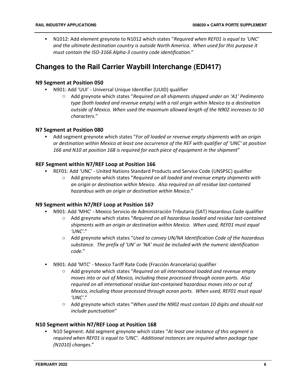• N1012: Add element greynote to N1012 which states "*Required when REF01 is equal to 'UNC' and the ultimate destination country is outside North America. When used for this purpose it must contain the ISO-3166 Alpha-3 country code identification.*"

# **Changes to the Rail Carrier Waybill Interchange (EDI417)**

#### **N9 Segment at Position 050**

- N901: Add 'UUI' Universal Unique Identifier (UUID) qualifier
	- o Add greynote which states "*Required on all shipments shipped under an 'A1' Pedimento type (both loaded and revenue empty) with a rail origin within Mexico to a destination outside of Mexico. When used the maximum allowed length of the N902 increases to 50 characters.*"

#### **N7 Segment at Position 080**

• Add segment greynote which states "*For all loaded or revenue empty shipments with an origin or destination within Mexico at least one occurrence of the REF with qualifier of 'UNC' at position 166 and N10 at position 168 is required for each piece of equipment in the shipment*"

#### **REF Segment within N7/REF Loop at Position 166**

- REF01: Add 'UNC' United Nations Standard Products and Service Code (UNSPSC) qualifier
	- o Add greynote which states "*Required on all loaded and revenue empty shipments with an origin or destination within Mexico. Also required on all residue last-contained hazardous with an origin or destination within Mexico.*"

#### **N9 Segment within N7/REF Loop at Position 167**

- N901: Add 'MHC' Mexico Servicio de Administración Tributaria (SAT) Hazardous Code qualifier
	- o Add greynote which states "*Required on all hazardous loaded and residue last-contained shipments with an origin or destination within Mexico. When used, REF01 must equal 'UNC'.*"
	- o Add greynote which states "*Used to convey UN/NA Identification Code of the hazardous substance. The prefix of 'UN' or 'NA' must be included with the numeric identification code.*"
- N901: Add 'MTC' Mexico Tariff Rate Code (Fracción Arancelaria) qualifier
	- o Add greynote which states "*Required on all international loaded and revenue empty moves into or out of Mexico, including those processed through ocean ports. Also required on all international residue last-contained hazardous moves into or out of Mexico, including those processed through ocean ports. When used, REF01 must equal 'UNC'*."
	- o Add greynote which states "*When used the N902 must contain 10 digits and should not include punctuation*"

#### **N10 Segment within N7/REF Loop at Position 168**

• N10 Segment: Add segment greynote which states "*At least one instance of this segment is required when REF01 is equal to 'UNC'. Additional instances are required when package type (N1010) changes.*"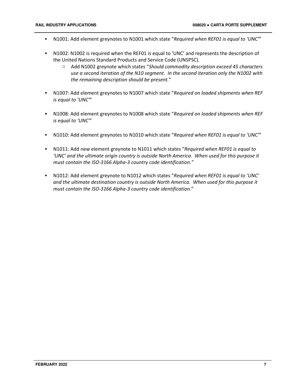- N1001: Add element greynotes to N1001 which state "*Required when REF01 is equal to 'UNC'*"
- N1002: N1002 is required when the REF01 is equal to 'UNC' and represents the description of the United Nations Standard Products and Service Code (UNSPSC).
	- o Add N1002 greynote which states "*Should commodity description exceed 45 characters use a second iteration of the N10 segment. In the second iteration only the N1002 with the remaining description should be present.*"
- N1007: Add element greynotes to N1007 which state "*Required on loaded shipments when REF is equal to 'UNC'*"
- N1008: Add element greynotes to N1008 which state "*Required on loaded shipments when REF is equal to 'UNC'*"
- N1010: Add element greynotes to N1010 which state "*Required when REF01 is equal to 'UNC'*"
- N1011: Add new element greynote to N1011 which states "*Required when REF01 is equal to 'UNC' and the ultimate origin country is outside North America. When used for this purpose it must contain the ISO-3166 Alpha-3 country code identification."*
- N1012: Add element greynote to N1012 which states "*Required when REF01 is equal to 'UNC' and the ultimate destination country is outside North America. When used for this purpose it must contain the ISO-3166 Alpha-3 country code identification.*"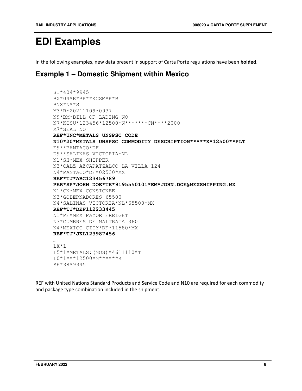# **EDI Examples**

In the following examples, new data present in support of Carta Porte regulations have been **bolded**.

## **Example 1 – Domestic Shipment within Mexico**

```
ST*404*9945 
BX*04*R*PP**KCSM*K*B 
BNX*N**S 
M3*R*20211109*0937 
N9*BM*BILL OF LADING NO 
N7*KCSU*123456*12500*N*******CN****2000 
M7*SEAL NO 
REF*UNC*METALS UNSPSC CODE 
N10*20*METALS UNSPSC COMMODITY DESCRIPTION*****K*12500**PLT 
F9**PANTACO*DF 
D9**SALINAS VICTORIA*NL 
N1*SH*MEX SHIPPER 
N3*CALZ AZCAPATZALCO LA VILLA 124 
N4*PANTACO*DF*02530*MX 
REF*TJ*ABC123456789 
PER*SP*JOHN DOE*TE*9195550101*EM*JOHN.DOE@MEXSHIPPING.MX 
N1*CN*MEX CONSIGNEE 
N3*GOBERNADORES 65500 
N4*SALINAS VICTORIA*NL*65500*MX 
REF*TJ*DEF112233445 
N1*PF*MEX PAYOR FREIGHT 
N3*CUMBRES DE MALTRATA 360 
N4*MEXICO CITY*DF*11580*MX 
REF*TJ*JKL123987456 
… 
LX*1L5*1*METALS:(NOS)*4611110*T 
L0*1***12500*N******K 
SE*38*9945
```
REF with United Nations Standard Products and Service Code and N10 are required for each commodity and package type combination included in the shipment.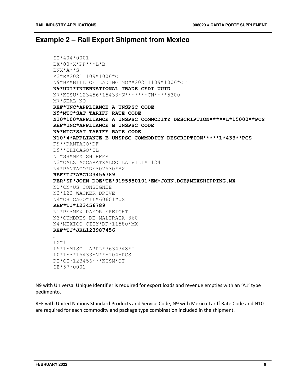### **Example 2 – Rail Export Shipment from Mexico**

```
ST*404*0001 
BX*00*X*PP***L*B 
BNX*A**S 
M3*R*20211109*1006*CT 
N9*BM*BILL OF LADING NO**20211109*1006*CT 
N9*UUI*INTERNATIONAL TRADE CFDI UUID 
N7*KCSU*123456*15433*N*******CN****5300 
M7*SEAL NO 
REF*UNC*APPLIANCE A UNSPSC CODE 
N9*MTC*SAT TARIFF RATE CODE 
N10*100*APPLIANCE A UNSPSC COMMODITY DESCRIPTION*****L*15000**PCS 
REF*UNC*APPLIANCE B UNSPSC CODE 
N9*MTC*SAT TARIFF RATE CODE 
N10*4*APPLIANCE B UNSPSC COMMODITY DESCRIPTION*****L*433**PCS 
F9**PANTACO*DF 
D9**CHICAGO*IL 
N1*SH*MEX SHIPPER 
N3*CALZ AZCAPATZALCO LA VILLA 124 
N4*PANTACO*DF*02530*MX 
REF*TJ*ABC123456789 
PER*SP*JOHN DOE*TE*9195550101*EM*JOHN.DOE@MEXSHIPPING.MX 
N1*CN*US CONSIGNEE 
N3*123 WACKER DRIVE 
N4*CHICAGO*IL*60601*US 
REF*TJ*123456789 
N1*PF*MEX PAYOR FREIGHT 
N3*CUMBRES DE MALTRATA 360 
N4*MEXICO CITY*DF*11580*MX 
REF*TJ*JKL123987456 
… 
LX*1 
L5*1*MISC. APPL*3634348*T 
L0*1***15433*N***104*PCS 
PI*CT*123456***KCSM*QT 
SE*57*0001
```
N9 with Universal Unique Identifier is required for export loads and revenue empties with an 'A1' type pedimento.

REF with United Nations Standard Products and Service Code, N9 with Mexico Tariff Rate Code and N10 are required for each commodity and package type combination included in the shipment.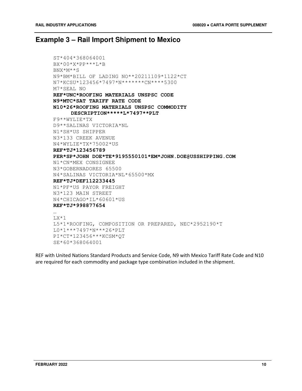## **Example 3 – Rail Import Shipment to Mexico**

```
ST*404*368064001 
BX*00*X*PP***L*B 
BNX*M**S 
N9*BM*BILL OF LADING NO**20211109*1122*CT 
N7*KCSU*123456*7497*N*******CN****5300 
M7*SEAL NO 
REF*UNC*ROOFING MATERIALS UNSPSC CODE 
N9*MTC*SAT TARIFF RATE CODE 
N10*26*ROOFING MATERIALS UNSPSC COMMODITY 
     DESCRIPTION*****L*7497**PLT 
F9**WYLIE*TX 
D9**SALINAS VICTORIA*NL 
N1*SH*US SHIPPER 
N3*133 CREEK AVENUE 
N4*WYLIE*TX*75002*US 
REF*TJ*123456789 
PER*SP*JOHN DOE*TE*9195550101*EM*JOHN.DOE@USSHIPPING.COM 
N1*CN*MEX CONSIGNEE 
N3*GOBERNADORES 65500 
N4*SALINAS VICTORIA*NL*65500*MX 
REF*TJ*DEF112233445 
N1*PF*US PAYOR FREIGHT 
N3*123 MAIN STREET 
N4*CHICAGO*IL*60601*US 
REF*TJ*998877654 
… 
LX*1L5*1*ROOFING, COMPOSITION OR PREPARED, NEC*2952190*T 
L0*1***7497*N***26*PLT 
PI*CT*123456***KCSM*QT 
SE*60*368064001
```
REF with United Nations Standard Products and Service Code, N9 with Mexico Tariff Rate Code and N10 are required for each commodity and package type combination included in the shipment.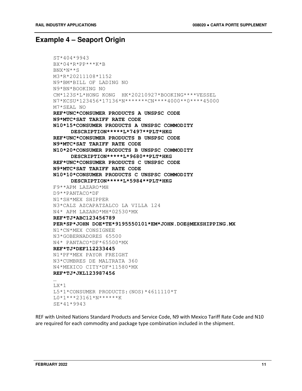### **Example 4 – Seaport Origin**

```
ST*404*9943 
BX*04*R*PP***K*B 
BNX*N**S 
M3*R*20211108*1152 
N9*BM*BILL OF LADING NO 
N9*BN*BOOKING NO 
CM*123S*L*HONG KONG HK*20210927*BOOKING****VESSEL 
N7*KCSU*123456*17136*N*******CN****4000**0****45000
M7*SEAL NO 
REF*UNC*CONSUMER PRODUCTS A UNSPSC CODE 
N9*MTC*SAT TARIFF RATE CODE 
N10*15*CONSUMER PRODUCTS A UNSPSC COMMODITY 
     DESCRIPTION*****L*7497**PLT*HKG 
REF*UNC*CONSUMER PRODUCTS B UNSPSC CODE 
N9*MTC*SAT TARIFF RATE CODE 
N10*20*CONSUMER PRODUCTS B UNSPSC COMMODITY 
     DESCRIPTION*****L*9680**PLT*HKG 
REF*UNC*CONSUMER PRODUCTS C UNSPSC CODE 
N9*MTC*SAT TARIFF RATE CODE 
N10*10*CONSUMER PRODUCTS C UNSPSC COMMODITY 
     DESCRIPTION*****L*5984**PLT*HKG 
F9**APM LAZARO*MH 
D9**PANTACO*DF 
N1*SH*MEX SHIPPER 
N3*CALZ AZCAPATZALCO LA VILLA 124 
N4* APM LAZARO*MH*02530*MX 
REF*TJ*ABC123456789 
PER*SP*JOHN DOE*TE*9195550101*EM*JOHN.DOE@MEXSHIPPING.MX 
N1*CN*MEX CONSIGNEE 
N3*GOBERNADORES 65500 
N4* PANTACO*DF*65500*MX 
REF*TJ*DEF112233445 
N1*PF*MEX PAYOR FREIGHT 
N3*CUMBRES DE MALTRATA 360 
N4*MEXICO CITY*DF*11580*MX 
REF*TJ*JKL123987456 
… 
LX*1 
L5*1*CONSUMER PRODUCTS:(NOS)*4611110*T 
L0*1***23161*N******K 
SE*41*9943
```
REF with United Nations Standard Products and Service Code, N9 with Mexico Tariff Rate Code and N10 are required for each commodity and package type combination included in the shipment.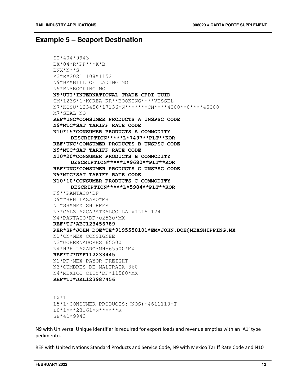### **Example 5 – Seaport Destination**

```
ST*404*9943 
BX*04*R*PP***K*B 
BNX*N**S 
M3*R*20211108*1152 
N9*BM*BILL OF LADING NO 
N9*BN*BOOKING NO 
N9*UUI*INTERNATIONAL TRADE CFDI UUID 
CM*123S*1*KOREA KR**BOOKING****VESSEL 
N7*KCSU*123456*17136*N*******CN****4000**0****45000
M7*SEAL NO 
REF*UNC*CONSUMER PRODUCTS A UNSPSC CODE 
N9*MTC*SAT TARIFF RATE CODE 
N10*15*CONSUMER PRODUCTS A COMMODITY 
     DESCRIPTION*****L*7497**PLT**KOR 
REF*UNC*CONSUMER PRODUCTS B UNSPSC CODE 
N9*MTC*SAT TARIFF RATE CODE 
N10*20*CONSUMER PRODUCTS B COMMODITY 
     DESCRIPTION*****L*9680**PLT**KOR 
REF*UNC*CONSUMER PRODUCTS C UNSPSC CODE 
N9*MTC*SAT TARIFF RATE CODE 
N10*10*CONSUMER PRODUCTS C COMMODITY 
     DESCRIPTION*****L*5984**PLT**KOR 
F9**PANTACO*DF 
D9**HPH LAZARO*MH 
N1*SH*MEX SHIPPER 
N3*CALZ AZCAPATZALCO LA VILLA 124 
N4*PANTACO*DF*02530*MX 
REF*TJ*ABC123456789 
PER*SP*JOHN DOE*TE*9195550101*EM*JOHN.DOE@MEXSHIPPING.MX 
N1*CN*MEX CONSIGNEE 
N3*GOBERNADORES 65500 
N4*HPH LAZARO*MH*65500*MX 
REF*TJ*DEF112233445 
N1*PF*MEX PAYOR FREIGHT 
N3*CUMBRES DE MALTRATA 360 
N4*MEXICO CITY*DF*11580*MX 
REF*TJ*JKL123987456 
… 
LX*1L5*1*CONSUMER PRODUCTS:(NOS)*4611110*T
```
N9 with Universal Unique Identifier is required for export loads and revenue empties with an 'A1' type pedimento.

REF with United Nations Standard Products and Service Code, N9 with Mexico Tariff Rate Code and N10

L0\*1\*\*\*23161\*N\*\*\*\*\*\*K

SE\*41\*9943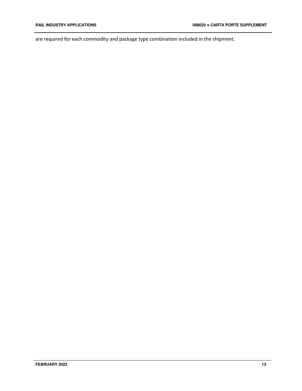are required for each commodity and package type combination included in the shipment.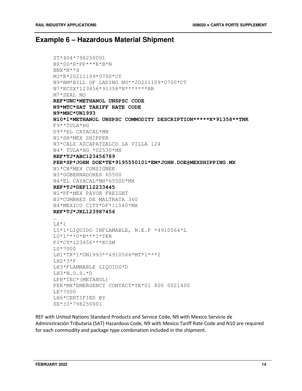### **Example 6 – Hazardous Material Shipment**

```
ST*404*798250001 
BX*00*R*PP***K*B*N 
BNX*N**S 
M3*R*20211109*0700*CT 
N9*BM*BILL OF LADING NO**20211109*0700*CT 
N7*KCSX*123456*91358*N*******RR 
M7*SEAL NO 
REF*UNC*METHANOL UNSPSC CODE 
N9*MTC*SAT TARIFF RATE CODE 
N9*MHC*UN1993 
N10*1*METHANOL UNSPSC COMMODITY DESCRIPTION*****K*91358**TNK 
F9**TULA*HG 
D9**EL CAYACAL*MH 
N1*SH*MEX SHIPPER 
N3*CALZ AZCAPATZALCO LA VILLA 124 
N4* TULA*HG *02530*MX 
REF*TJ*ABC123456789 
PER*SP*JOHN DOE*TE*9195550101*EM*JOHN.DOE@MEXSHIPPING.MX 
N1*CN*MEX CONSIGNEE 
N3*GOBERNADORES 65500 
N4*EL CAYACAL*MH*65500*MX 
REF*TJ*DEF112233445 
N1*PF*MEX PAYOR FREIGHT 
N3*CUMBRES DE MALTRATA 360 
N4*MEXICO CITY*DF*11580*MX 
REF*TJ*JKL123987456 
… 
LX*1L5*1*LIQUIDO INFLAMABLE, N.E.P *4910564*L 
L0*1***0*N***1*TKR 
PI*CT*123456***KCSM 
LS*7000 
LH1*TK*1*UN1993**4910564*MT*1***I 
LH2*3*P 
LH3*FLAMMABLE LIQUIDS*D 
LH3*N.O.S.*D 
LFH*TEC*(METANOL) 
PER*MX*EMERGENCY CONTACT*TE*01 800 0021400 
LE*7000 
LH6*CERTIFIED BY 
SE*33*798250001
```
REF with United Nations Standard Products and Service Code, N9 with Mexico Servicio de Administración Tributaria (SAT) Hazardous Code, N9 with Mexico Tariff Rate Code and N10 are required for each commodity and package type combination included in the shipment.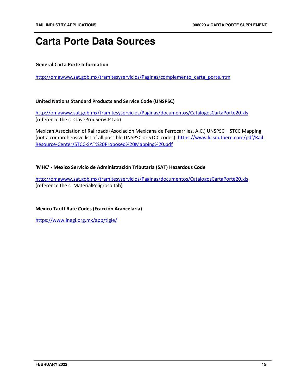# **Carta Porte Data Sources**

#### **General Carta Porte Information**

http://omawww.sat.gob.mx/tramitesyservicios/Paginas/complemento\_carta\_porte.htm

#### **United Nations Standard Products and Service Code (UNSPSC)**

http://omawww.sat.gob.mx/tramitesyservicios/Paginas/documentos/CatalogosCartaPorte20.xls (reference the c\_ClaveProdServCP tab)

Mexican Association of Railroads (Asociación Mexicana de Ferrocarriles, A.C.) UNSPSC – STCC Mapping (not a comprehensive list of all possible UNSPSC or STCC codes): https://www.kcsouthern.com/pdf/Rail-Resource-Center/STCC-SAT%20Proposed%20Mapping%20.pdf

#### **'MHC' - Mexico Servicio de Administración Tributaria (SAT) Hazardous Code**

http://omawww.sat.gob.mx/tramitesyservicios/Paginas/documentos/CatalogosCartaPorte20.xls (reference the c\_MaterialPeligroso tab)

#### **Mexico Tariff Rate Codes (Fracción Arancelaria)**

https://www.inegi.org.mx/app/tigie/